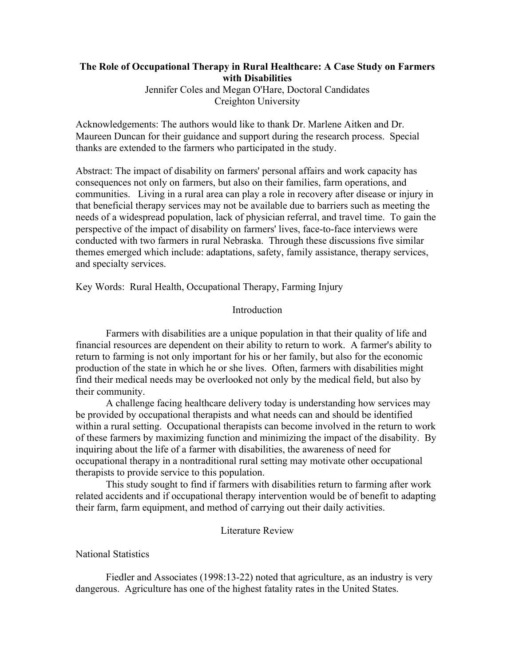# **The Role of Occupational Therapy in Rural Healthcare: A Case Study on Farmers with Disabilities** Jennifer Coles and Megan O'Hare, Doctoral Candidates Creighton University

Acknowledgements: The authors would like to thank Dr. Marlene Aitken and Dr. Maureen Duncan for their guidance and support during the research process. Special thanks are extended to the farmers who participated in the study.

Abstract: The impact of disability on farmers' personal affairs and work capacity has consequences not only on farmers, but also on their families, farm operations, and communities. Living in a rural area can play a role in recovery after disease or injury in that beneficial therapy services may not be available due to barriers such as meeting the needs of a widespread population, lack of physician referral, and travel time. To gain the perspective of the impact of disability on farmers' lives, face-to-face interviews were conducted with two farmers in rural Nebraska. Through these discussions five similar themes emerged which include: adaptations, safety, family assistance, therapy services, and specialty services.

Key Words: Rural Health, Occupational Therapy, Farming Injury

# Introduction

Farmers with disabilities are a unique population in that their quality of life and financial resources are dependent on their ability to return to work. A farmer's ability to return to farming is not only important for his or her family, but also for the economic production of the state in which he or she lives. Often, farmers with disabilities might find their medical needs may be overlooked not only by the medical field, but also by their community.

A challenge facing healthcare delivery today is understanding how services may be provided by occupational therapists and what needs can and should be identified within a rural setting. Occupational therapists can become involved in the return to work of these farmers by maximizing function and minimizing the impact of the disability. By inquiring about the life of a farmer with disabilities, the awareness of need for occupational therapy in a nontraditional rural setting may motivate other occupational therapists to provide service to this population.

This study sought to find if farmers with disabilities return to farming after work related accidents and if occupational therapy intervention would be of benefit to adapting their farm, farm equipment, and method of carrying out their daily activities.

# Literature Review

National Statistics

Fiedler and Associates (1998:13-22) noted that agriculture, as an industry is very dangerous. Agriculture has one of the highest fatality rates in the United States.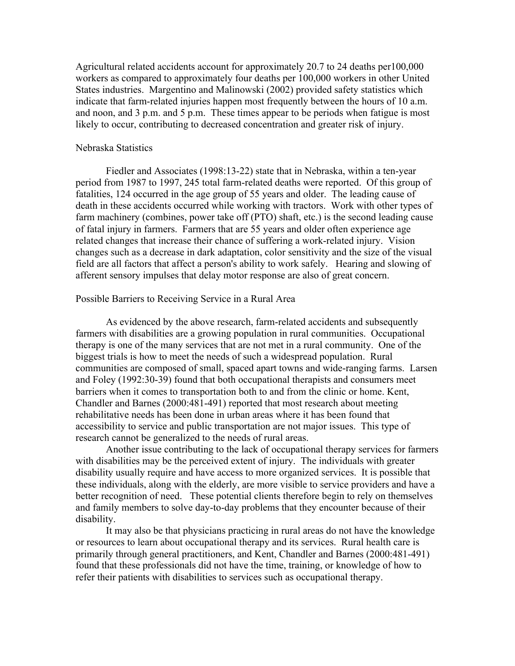Agricultural related accidents account for approximately 20.7 to 24 deaths per100,000 workers as compared to approximately four deaths per 100,000 workers in other United States industries. Margentino and Malinowski (2002) provided safety statistics which indicate that farm-related injuries happen most frequently between the hours of 10 a.m. and noon, and 3 p.m. and 5 p.m. These times appear to be periods when fatigue is most likely to occur, contributing to decreased concentration and greater risk of injury.

# Nebraska Statistics

Fiedler and Associates (1998:13-22) state that in Nebraska, within a ten-year period from 1987 to 1997, 245 total farm-related deaths were reported. Of this group of fatalities, 124 occurred in the age group of 55 years and older. The leading cause of death in these accidents occurred while working with tractors. Work with other types of farm machinery (combines, power take off (PTO) shaft, etc.) is the second leading cause of fatal injury in farmers. Farmers that are 55 years and older often experience age related changes that increase their chance of suffering a work-related injury. Vision changes such as a decrease in dark adaptation, color sensitivity and the size of the visual field are all factors that affect a person's ability to work safely. Hearing and slowing of afferent sensory impulses that delay motor response are also of great concern.

#### Possible Barriers to Receiving Service in a Rural Area

As evidenced by the above research, farm-related accidents and subsequently farmers with disabilities are a growing population in rural communities. Occupational therapy is one of the many services that are not met in a rural community. One of the biggest trials is how to meet the needs of such a widespread population. Rural communities are composed of small, spaced apart towns and wide-ranging farms. Larsen and Foley (1992:30-39) found that both occupational therapists and consumers meet barriers when it comes to transportation both to and from the clinic or home. Kent, Chandler and Barnes (2000:481-491) reported that most research about meeting rehabilitative needs has been done in urban areas where it has been found that accessibility to service and public transportation are not major issues. This type of research cannot be generalized to the needs of rural areas.

Another issue contributing to the lack of occupational therapy services for farmers with disabilities may be the perceived extent of injury. The individuals with greater disability usually require and have access to more organized services. It is possible that these individuals, along with the elderly, are more visible to service providers and have a better recognition of need. These potential clients therefore begin to rely on themselves and family members to solve day-to-day problems that they encounter because of their disability.

It may also be that physicians practicing in rural areas do not have the knowledge or resources to learn about occupational therapy and its services. Rural health care is primarily through general practitioners, and Kent, Chandler and Barnes (2000:481-491) found that these professionals did not have the time, training, or knowledge of how to refer their patients with disabilities to services such as occupational therapy.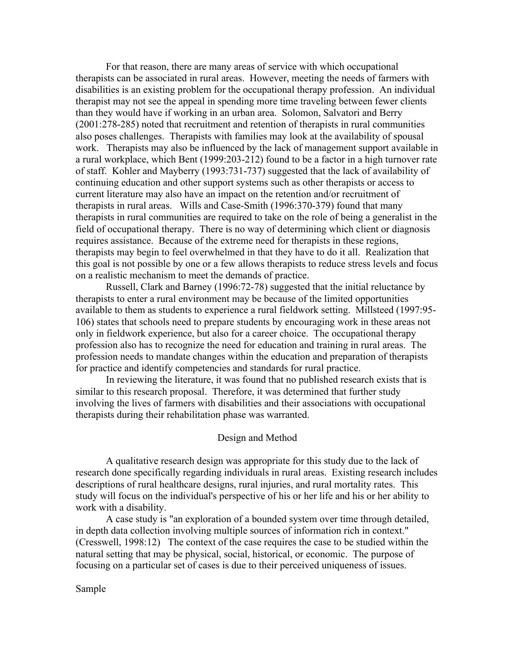For that reason, there are many areas of service with which occupational therapists can be associated in rural areas. However, meeting the needs of farmers with disabilities is an existing problem for the occupational therapy profession. An individual therapist may not see the appeal in spending more time traveling between fewer clients than they would have if working in an urban area. Solomon, Salvatori and Berry (2001:278-285) noted that recruitment and retention of therapists in rural communities also poses challenges. Therapists with families may look at the availability of spousal work. Therapists may also be influenced by the lack of management support available in a rural workplace, which Bent (1999:203-212) found to be a factor in a high turnover rate of staff. Kohler and Mayberry (1993:731-737) suggested that the lack of availability of continuing education and other support systems such as other therapists or access to current literature may also have an impact on the retention and/or recruitment of therapists in rural areas. Wills and Case-Smith (1996:370-379) found that many therapists in rural communities are required to take on the role of being a generalist in the field of occupational therapy. There is no way of determining which client or diagnosis requires assistance. Because of the extreme need for therapists in these regions, therapists may begin to feel overwhelmed in that they have to do it all. Realization that this goal is not possible by one or a few allows therapists to reduce stress levels and focus on a realistic mechanism to meet the demands of practice.

Russell, Clark and Barney (1996:72-78) suggested that the initial reluctance by therapists to enter a rural environment may be because of the limited opportunities available to them as students to experience a rural fieldwork setting. Millsteed (1997:95- 106) states that schools need to prepare students by encouraging work in these areas not only in fieldwork experience, but also for a career choice. The occupational therapy profession also has to recognize the need for education and training in rural areas. The profession needs to mandate changes within the education and preparation of therapists for practice and identify competencies and standards for rural practice.

In reviewing the literature, it was found that no published research exists that is similar to this research proposal. Therefore, it was determined that further study involving the lives of farmers with disabilities and their associations with occupational therapists during their rehabilitation phase was warranted.

# Design and Method

A qualitative research design was appropriate for this study due to the lack of research done specifically regarding individuals in rural areas. Existing research includes descriptions of rural healthcare designs, rural injuries, and rural mortality rates. This study will focus on the individual's perspective of his or her life and his or her ability to work with a disability.

A case study is "an exploration of a bounded system over time through detailed, in depth data collection involving multiple sources of information rich in context." (Cresswell, 1998:12) The context of the case requires the case to be studied within the natural setting that may be physical, social, historical, or economic. The purpose of focusing on a particular set of cases is due to their perceived uniqueness of issues.

Sample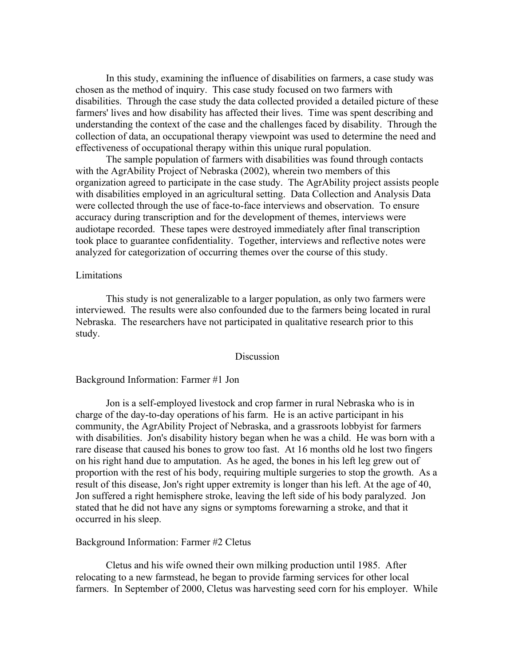In this study, examining the influence of disabilities on farmers, a case study was chosen as the method of inquiry. This case study focused on two farmers with disabilities. Through the case study the data collected provided a detailed picture of these farmers' lives and how disability has affected their lives. Time was spent describing and understanding the context of the case and the challenges faced by disability. Through the collection of data, an occupational therapy viewpoint was used to determine the need and effectiveness of occupational therapy within this unique rural population.

The sample population of farmers with disabilities was found through contacts with the AgrAbility Project of Nebraska (2002), wherein two members of this organization agreed to participate in the case study. The AgrAbility project assists people with disabilities employed in an agricultural setting. Data Collection and Analysis Data were collected through the use of face-to-face interviews and observation. To ensure accuracy during transcription and for the development of themes, interviews were audiotape recorded. These tapes were destroyed immediately after final transcription took place to guarantee confidentiality. Together, interviews and reflective notes were analyzed for categorization of occurring themes over the course of this study.

# Limitations

This study is not generalizable to a larger population, as only two farmers were interviewed. The results were also confounded due to the farmers being located in rural Nebraska. The researchers have not participated in qualitative research prior to this study.

# Discussion

#### Background Information: Farmer #1 Jon

Jon is a self-employed livestock and crop farmer in rural Nebraska who is in charge of the day-to-day operations of his farm. He is an active participant in his community, the AgrAbility Project of Nebraska, and a grassroots lobbyist for farmers with disabilities. Jon's disability history began when he was a child. He was born with a rare disease that caused his bones to grow too fast. At 16 months old he lost two fingers on his right hand due to amputation. As he aged, the bones in his left leg grew out of proportion with the rest of his body, requiring multiple surgeries to stop the growth. As a result of this disease, Jon's right upper extremity is longer than his left. At the age of 40, Jon suffered a right hemisphere stroke, leaving the left side of his body paralyzed. Jon stated that he did not have any signs or symptoms forewarning a stroke, and that it occurred in his sleep.

#### Background Information: Farmer #2 Cletus

Cletus and his wife owned their own milking production until 1985. After relocating to a new farmstead, he began to provide farming services for other local farmers. In September of 2000, Cletus was harvesting seed corn for his employer. While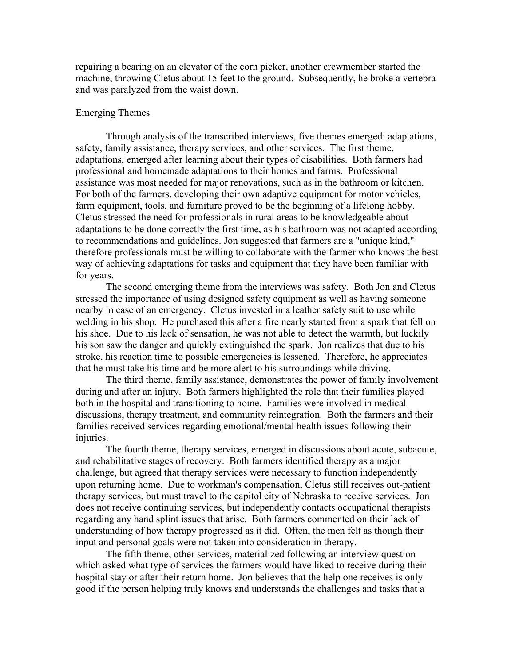repairing a bearing on an elevator of the corn picker, another crewmember started the machine, throwing Cletus about 15 feet to the ground. Subsequently, he broke a vertebra and was paralyzed from the waist down.

# Emerging Themes

Through analysis of the transcribed interviews, five themes emerged: adaptations, safety, family assistance, therapy services, and other services. The first theme, adaptations, emerged after learning about their types of disabilities. Both farmers had professional and homemade adaptations to their homes and farms. Professional assistance was most needed for major renovations, such as in the bathroom or kitchen. For both of the farmers, developing their own adaptive equipment for motor vehicles, farm equipment, tools, and furniture proved to be the beginning of a lifelong hobby. Cletus stressed the need for professionals in rural areas to be knowledgeable about adaptations to be done correctly the first time, as his bathroom was not adapted according to recommendations and guidelines. Jon suggested that farmers are a "unique kind," therefore professionals must be willing to collaborate with the farmer who knows the best way of achieving adaptations for tasks and equipment that they have been familiar with for years.

The second emerging theme from the interviews was safety. Both Jon and Cletus stressed the importance of using designed safety equipment as well as having someone nearby in case of an emergency. Cletus invested in a leather safety suit to use while welding in his shop. He purchased this after a fire nearly started from a spark that fell on his shoe. Due to his lack of sensation, he was not able to detect the warmth, but luckily his son saw the danger and quickly extinguished the spark. Jon realizes that due to his stroke, his reaction time to possible emergencies is lessened. Therefore, he appreciates that he must take his time and be more alert to his surroundings while driving.

The third theme, family assistance, demonstrates the power of family involvement during and after an injury. Both farmers highlighted the role that their families played both in the hospital and transitioning to home. Families were involved in medical discussions, therapy treatment, and community reintegration. Both the farmers and their families received services regarding emotional/mental health issues following their injuries.

The fourth theme, therapy services, emerged in discussions about acute, subacute, and rehabilitative stages of recovery. Both farmers identified therapy as a major challenge, but agreed that therapy services were necessary to function independently upon returning home. Due to workman's compensation, Cletus still receives out-patient therapy services, but must travel to the capitol city of Nebraska to receive services. Jon does not receive continuing services, but independently contacts occupational therapists regarding any hand splint issues that arise. Both farmers commented on their lack of understanding of how therapy progressed as it did. Often, the men felt as though their input and personal goals were not taken into consideration in therapy.

The fifth theme, other services, materialized following an interview question which asked what type of services the farmers would have liked to receive during their hospital stay or after their return home. Jon believes that the help one receives is only good if the person helping truly knows and understands the challenges and tasks that a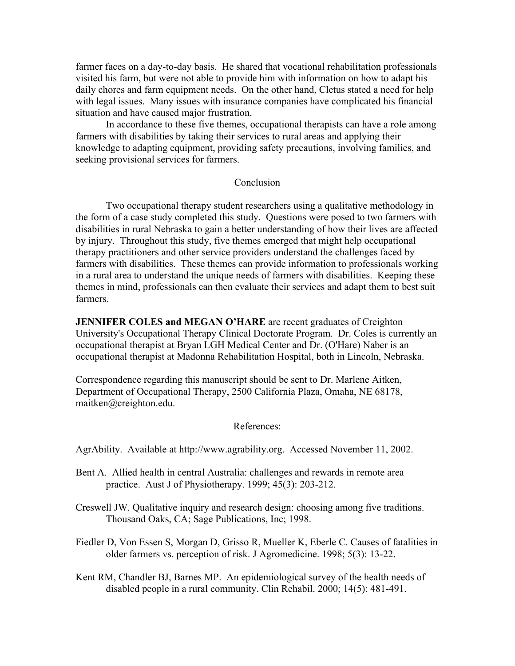farmer faces on a day-to-day basis. He shared that vocational rehabilitation professionals visited his farm, but were not able to provide him with information on how to adapt his daily chores and farm equipment needs. On the other hand, Cletus stated a need for help with legal issues. Many issues with insurance companies have complicated his financial situation and have caused major frustration.

In accordance to these five themes, occupational therapists can have a role among farmers with disabilities by taking their services to rural areas and applying their knowledge to adapting equipment, providing safety precautions, involving families, and seeking provisional services for farmers.

# Conclusion

Two occupational therapy student researchers using a qualitative methodology in the form of a case study completed this study. Questions were posed to two farmers with disabilities in rural Nebraska to gain a better understanding of how their lives are affected by injury. Throughout this study, five themes emerged that might help occupational therapy practitioners and other service providers understand the challenges faced by farmers with disabilities. These themes can provide information to professionals working in a rural area to understand the unique needs of farmers with disabilities. Keeping these themes in mind, professionals can then evaluate their services and adapt them to best suit farmers.

**JENNIFER COLES and MEGAN O'HARE** are recent graduates of Creighton University's Occupational Therapy Clinical Doctorate Program. Dr. Coles is currently an occupational therapist at Bryan LGH Medical Center and Dr. (O'Hare) Naber is an occupational therapist at Madonna Rehabilitation Hospital, both in Lincoln, Nebraska.

Correspondence regarding this manuscript should be sent to Dr. Marlene Aitken, Department of Occupational Therapy, 2500 California Plaza, Omaha, NE 68178, maitken@creighton.edu.

# References:

AgrAbility. Available at http://www.agrability.org. Accessed November 11, 2002.

- Bent A. Allied health in central Australia: challenges and rewards in remote area practice. Aust J of Physiotherapy. 1999; 45(3): 203-212.
- Creswell JW. Qualitative inquiry and research design: choosing among five traditions. Thousand Oaks, CA; Sage Publications, Inc; 1998.
- Fiedler D, Von Essen S, Morgan D, Grisso R, Mueller K, Eberle C. Causes of fatalities in older farmers vs. perception of risk. J Agromedicine. 1998; 5(3): 13-22.
- Kent RM, Chandler BJ, Barnes MP. An epidemiological survey of the health needs of disabled people in a rural community. Clin Rehabil. 2000; 14(5): 481-491.